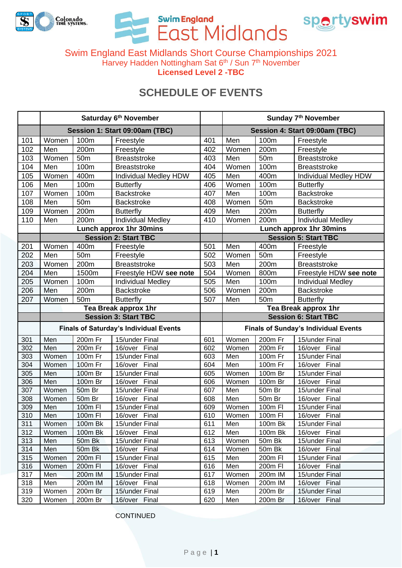

Swim England<br>East Midlands



Swim England East Midlands Short Course Championships 2021 Harvey Hadden Nottingham Sat 6<sup>th</sup> / Sun 7<sup>th</sup> November **Licensed Level 2 -TBC**

## **SCHEDULE OF EVENTS**

|            | Saturday 6th November                         |                    |                                 |            | Sunday 7th November                         |                      |                                 |  |
|------------|-----------------------------------------------|--------------------|---------------------------------|------------|---------------------------------------------|----------------------|---------------------------------|--|
|            | Session 1: Start 09:00am (TBC)                |                    |                                 |            | Session 4: Start 09:00am (TBC)              |                      |                                 |  |
| 101        | Women                                         | 100m               | Freestyle                       | 401        | Men                                         | 100m                 | Freestyle                       |  |
| 102        | Men                                           | 200m               | Freestyle                       | 402        | Women                                       | 200m                 | Freestyle                       |  |
| 103        | Women                                         | 50 <sub>m</sub>    | <b>Breaststroke</b>             | 403        | Men                                         | 50 <sub>m</sub>      | <b>Breaststroke</b>             |  |
| 104        | Men                                           | 100m               | <b>Breaststroke</b>             | 404        | Women                                       | 100m                 | <b>Breaststroke</b>             |  |
| 105        | Women                                         | 400m               | Individual Medley HDW           | 405        | Men                                         | 400m                 | Individual Medley HDW           |  |
| 106        | Men                                           | 100m               | <b>Butterfly</b>                | 406        | Women                                       | 100m                 | <b>Butterfly</b>                |  |
| 107        | Women                                         | 100m               | <b>Backstroke</b>               | 407        | Men                                         | 100m                 | <b>Backstroke</b>               |  |
| 108        | Men                                           | 50 <sub>m</sub>    | <b>Backstroke</b>               | 408        | Women                                       | 50 <sub>m</sub>      | <b>Backstroke</b>               |  |
| 109        | Women                                         | 200m               | <b>Butterfly</b>                | 409        | Men                                         | 200m                 | <b>Butterfly</b>                |  |
| 110        | Men                                           | 200m               | <b>Individual Medley</b>        | 410        | Women                                       | 200m                 | <b>Individual Medley</b>        |  |
|            |                                               |                    | Lunch approx 1hr 30mins         |            |                                             |                      | <b>Lunch approx 1hr 30mins</b>  |  |
|            |                                               |                    | <b>Session 2: Start TBC</b>     |            | <b>Session 5: Start TBC</b>                 |                      |                                 |  |
| 201        | Women                                         | 400m               | Freestyle                       | 501        | Men                                         | 400m                 | Freestyle                       |  |
| 202        | Men                                           | 50 <sub>m</sub>    | Freestyle                       | 502        | Women                                       | 50 <sub>m</sub>      | Freestyle                       |  |
| 203        | Women                                         | 200m               | <b>Breaststroke</b>             | 503        | Men                                         | 200m                 | <b>Breaststroke</b>             |  |
| 204        | Men                                           | 1500m              | Freestyle HDW see note          | 504        | Women                                       | 800m                 | Freestyle HDW see note          |  |
| 205        | Women                                         | 100m               | <b>Individual Medley</b>        | 505        | Men                                         | 100m                 | <b>Individual Medley</b>        |  |
| 206        | Men                                           | 200m               | <b>Backstroke</b>               | 506        | Women                                       | 200m                 | <b>Backstroke</b>               |  |
| 207        | Women                                         | 50 <sub>m</sub>    | <b>Butterfly</b>                | 507        | Men                                         | 50 <sub>m</sub>      | <b>Butterfly</b>                |  |
|            | Tea Break approx 1hr                          |                    |                                 |            | Tea Break approx 1hr                        |                      |                                 |  |
|            | <b>Session 3: Start TBC</b>                   |                    |                                 |            | <b>Session 6: Start TBC</b>                 |                      |                                 |  |
|            | <b>Finals of Saturday's Individual Events</b> |                    |                                 |            | <b>Finals of Sunday's Individual Events</b> |                      |                                 |  |
| 301        | Men                                           | 200m Fr            | 15/under Final                  | 601        | Women                                       | 200m Fr              | 15/under Final                  |  |
| 302        | Men                                           | 200m Fr            | 16/over Final                   | 602        | Women                                       | 200m Fr              | 16/over Final                   |  |
| 303        | Women                                         | 100m Fr            | 15/under Final                  | 603        | Men                                         | 100m Fr              | 15/under Final                  |  |
| 304        | Women                                         | $100m$ Fr          | 16/over Final                   | 604        | $\overline{\mathsf{Men}}$                   | $\overline{100m}$ Fr | 16/over Final                   |  |
| 305        | Men                                           | 100m Br            | 15/under Final                  | 605        | Women                                       | 100m Br              | 15/under Final                  |  |
| 306        | Men                                           | 100m Br            | 16/over Final                   | 606        |                                             |                      |                                 |  |
| 307        |                                               |                    |                                 |            | Women                                       | 100m Br              | 16/over Final                   |  |
| 308        | Women                                         | $50m$ Br           | 15/under Final                  | 607        | Men                                         | 50m Br               | 15/under Final                  |  |
|            | Women                                         | 50m Br             | 16/over Final                   | 608        | Men                                         | 50m Br               | 16/over Final                   |  |
| 309        | Men                                           | 100m FI            | 15/under Final                  | 609        | Women                                       | 100m FI              | 15/under Final                  |  |
| 310        | Men                                           | 100m FI            | 16/over Final                   | 610        | Women                                       | 100m FI              | 16/over Final                   |  |
| 311        | Women                                         | 100m Bk            | 15/under Final                  | 611        | Men                                         | 100m Bk              | 15/under Final                  |  |
| 312        | Women                                         | 100m Bk            | 16/over Final                   | 612        | Men                                         | 100m Bk              | 16/over Final                   |  |
| 313        | Men                                           | 50m Bk             | 15/under Final                  | 613        | Women                                       | 50m Bk               | 15/under Final                  |  |
| 314        | Men                                           | 50m Bk             | 16/over Final                   | 614        | Women                                       | 50m Bk               | 16/over Final                   |  |
| 315        | Women                                         | 200m FI            | 15/under Final                  | 615        | Men                                         | 200m FI              | 15/under Final                  |  |
| 316        | Women                                         | 200m FI            | 16/over Final                   | 616        | Men                                         | 200m FI              | 16/over Final                   |  |
| 317        | Men                                           | 200m IM            | 15/under Final                  | 617        | Women                                       | 200m IM              | 15/under Final                  |  |
| 318        | Men                                           | 200m IM            | 16/over Final                   | 618        | Women                                       | 200m IM              | 16/over Final                   |  |
| 319<br>320 | Women<br>Women                                | 200m Br<br>200m Br | 15/under Final<br>16/over Final | 619<br>620 | Men<br>Men                                  | 200m Br<br>200m Br   | 15/under Final<br>16/over Final |  |

**CONTINUED**